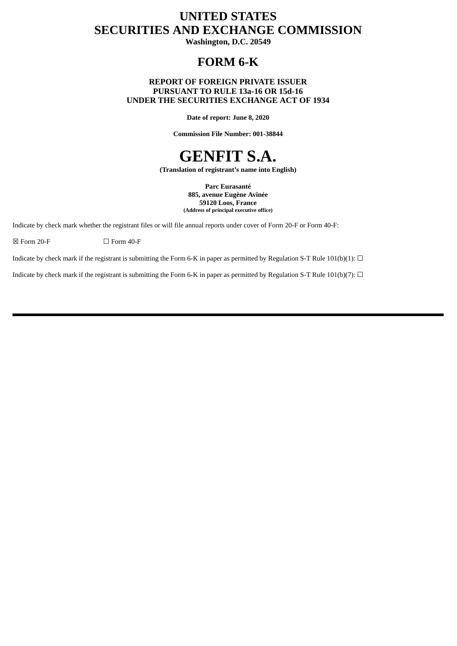## **UNITED STATES SECURITIES AND EXCHANGE COMMISSION**

**Washington, D.C. 20549**

### **FORM 6-K**

### **REPORT OF FOREIGN PRIVATE ISSUER PURSUANT TO RULE 13a-16 OR 15d-16 UNDER THE SECURITIES EXCHANGE ACT OF 1934**

**Date of report: June 8, 2020**

**Commission File Number: 001-38844**

# **GENFIT S.A.**

**(Translation of registrant's name into English)**

**Parc Eurasanté 885, avenue Eugène Avinée 59120 Loos, France (Address of principal executive office)**

Indicate by check mark whether the registrant files or will file annual reports under cover of Form 20-F or Form 40-F:

 $\boxtimes$  Form 20-F  $\Box$  Form 40-F

Indicate by check mark if the registrant is submitting the Form 6-K in paper as permitted by Regulation S-T Rule 101(b)(1):  $\Box$ 

Indicate by check mark if the registrant is submitting the Form 6-K in paper as permitted by Regulation S-T Rule 101(b)(7):  $\Box$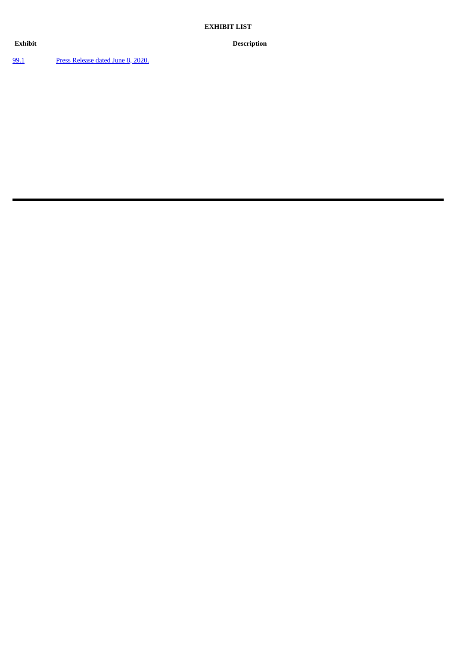### **Exhibit Description**

[99.1](#page-3-0) Press [Release](#page-3-0) dated June 8, 2020.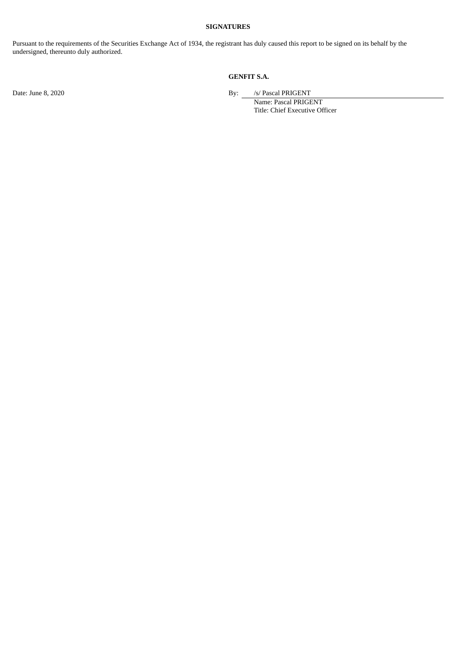### **SIGNATURES**

Pursuant to the requirements of the Securities Exchange Act of 1934, the registrant has duly caused this report to be signed on its behalf by the undersigned, thereunto duly authorized.

### **GENFIT S.A.**

Date: June 8, 2020 **By:** *S/* Pascal PRIGENT

Name: Pascal PRIGENT Title: Chief Executive Officer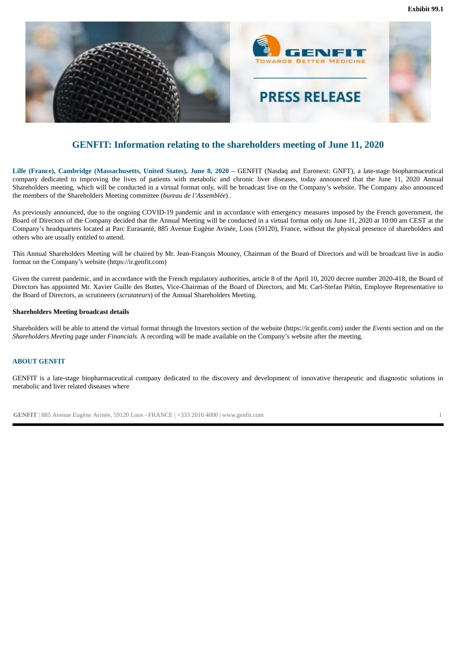

<span id="page-3-0"></span>

### **GENFIT: Information relating to the shareholders meeting of June 11, 2020**

**Lille (France), Cambridge (Massachusetts, United States), June 8, 2020** – GENFIT (Nasdaq and Euronext: GNFT), a late-stage biopharmaceutical company dedicated to improving the lives of patients with metabolic and chronic liver diseases, today announced that the June 11, 2020 Annual Shareholders meeting, which will be conducted in a virtual format only, will be broadcast live on the Company's website. The Company also announced the members of the Shareholders Meeting committee (*bureau de l'Assemblée*) .

As previously announced, due to the ongoing COVID-19 pandemic and in accordance with emergency measures imposed by the French government, the Board of Directors of the Company decided that the Annual Meeting will be conducted in a virtual format only on June 11, 2020 at 10:00 am CEST at the Company's headquarters located at Parc Eurasanté, 885 Avenue Eugène Avinée, Loos (59120), France, without the physical presence of shareholders and others who are usually entitled to attend.

This Annual Shareholders Meeting will be chaired by Mr. Jean-François Mouney, Chairman of the Board of Directors and will be broadcast live in audio format on the Company's website (https://ir.genfit.com)

Given the current pandemic, and in accordance with the French regulatory authorities, article 8 of the April 10, 2020 decree number 2020-418, the Board of Directors has appointed Mr. Xavier Guille des Buttes, Vice-Chairman of the Board of Directors, and Mr. Carl-Stefan Piétin, Employee Representative to the Board of Directors, as scrutineers (*scrutateurs*) of the Annual Shareholders Meeting.

#### **Shareholders Meeting broadcast details**

Shareholders will be able to attend the virtual format through the Investors section of the website (https://ir.genfit.com) under the *Events* section and on the *Shareholders Meeting* page under *Financials.* A recording will be made available on the Company's website after the meeting.

#### **ABOUT GENFIT**

GENFIT is a late-stage biopharmaceutical company dedicated to the discovery and development of innovative therapeutic and diagnostic solutions in metabolic and liver related diseases where

**GENFIT** | 885 Avenue Eugène Avinée, 59120 Loos - FRANCE | +333 2016 4000 | www.genfit.com 1